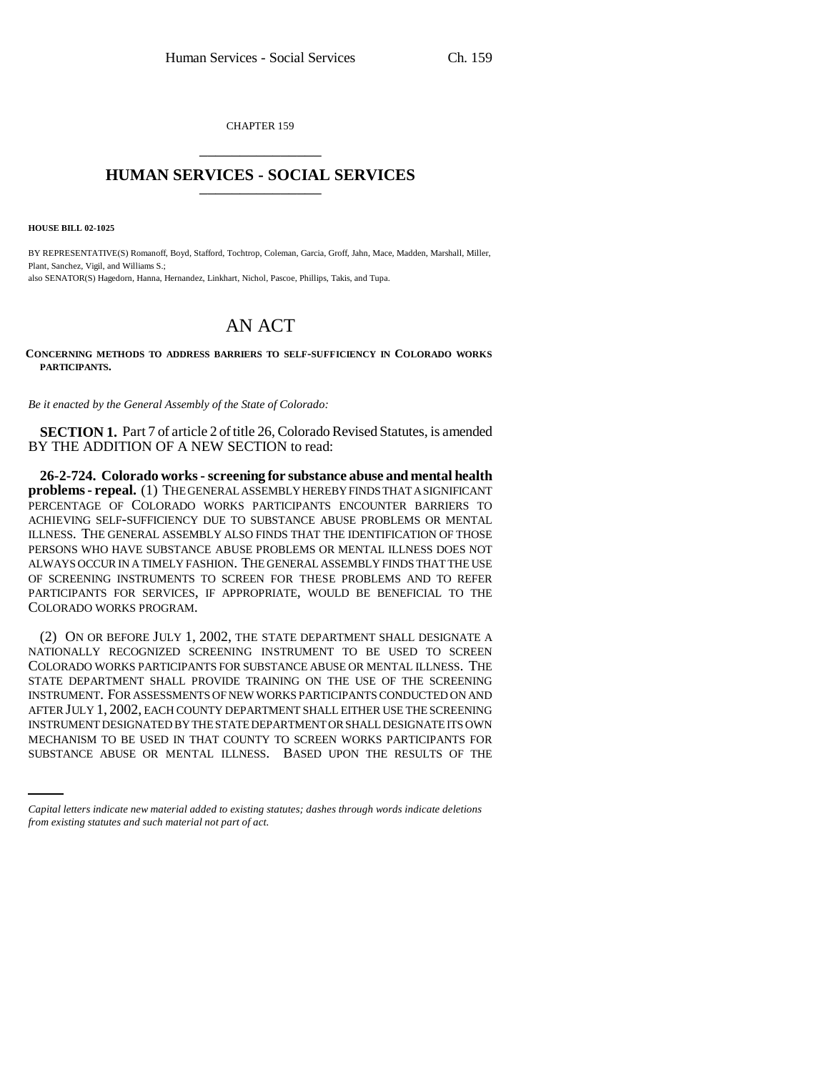CHAPTER 159 \_\_\_\_\_\_\_\_\_\_\_\_\_\_\_

## **HUMAN SERVICES - SOCIAL SERVICES** \_\_\_\_\_\_\_\_\_\_\_\_\_\_\_

**HOUSE BILL 02-1025**

BY REPRESENTATIVE(S) Romanoff, Boyd, Stafford, Tochtrop, Coleman, Garcia, Groff, Jahn, Mace, Madden, Marshall, Miller, Plant, Sanchez, Vigil, and Williams S.; also SENATOR(S) Hagedorn, Hanna, Hernandez, Linkhart, Nichol, Pascoe, Phillips, Takis, and Tupa.

## AN ACT

**CONCERNING METHODS TO ADDRESS BARRIERS TO SELF-SUFFICIENCY IN COLORADO WORKS PARTICIPANTS.** 

*Be it enacted by the General Assembly of the State of Colorado:*

**SECTION 1.** Part 7 of article 2 of title 26, Colorado Revised Statutes, is amended BY THE ADDITION OF A NEW SECTION to read:

**26-2-724. Colorado works - screening for substance abuse and mental health problems - repeal.** (1) THE GENERAL ASSEMBLY HEREBY FINDS THAT A SIGNIFICANT PERCENTAGE OF COLORADO WORKS PARTICIPANTS ENCOUNTER BARRIERS TO ACHIEVING SELF-SUFFICIENCY DUE TO SUBSTANCE ABUSE PROBLEMS OR MENTAL ILLNESS. THE GENERAL ASSEMBLY ALSO FINDS THAT THE IDENTIFICATION OF THOSE PERSONS WHO HAVE SUBSTANCE ABUSE PROBLEMS OR MENTAL ILLNESS DOES NOT ALWAYS OCCUR IN A TIMELY FASHION. THE GENERAL ASSEMBLY FINDS THAT THE USE OF SCREENING INSTRUMENTS TO SCREEN FOR THESE PROBLEMS AND TO REFER PARTICIPANTS FOR SERVICES, IF APPROPRIATE, WOULD BE BENEFICIAL TO THE COLORADO WORKS PROGRAM.

INSTRUMENT DESIGNATED BY THE STATE DEPARTMENT OR SHALL DESIGNATE ITS OWN (2) ON OR BEFORE JULY 1, 2002, THE STATE DEPARTMENT SHALL DESIGNATE A NATIONALLY RECOGNIZED SCREENING INSTRUMENT TO BE USED TO SCREEN COLORADO WORKS PARTICIPANTS FOR SUBSTANCE ABUSE OR MENTAL ILLNESS. THE STATE DEPARTMENT SHALL PROVIDE TRAINING ON THE USE OF THE SCREENING INSTRUMENT. FOR ASSESSMENTS OF NEW WORKS PARTICIPANTS CONDUCTED ON AND AFTER JULY 1, 2002, EACH COUNTY DEPARTMENT SHALL EITHER USE THE SCREENING MECHANISM TO BE USED IN THAT COUNTY TO SCREEN WORKS PARTICIPANTS FOR SUBSTANCE ABUSE OR MENTAL ILLNESS. BASED UPON THE RESULTS OF THE

*Capital letters indicate new material added to existing statutes; dashes through words indicate deletions from existing statutes and such material not part of act.*